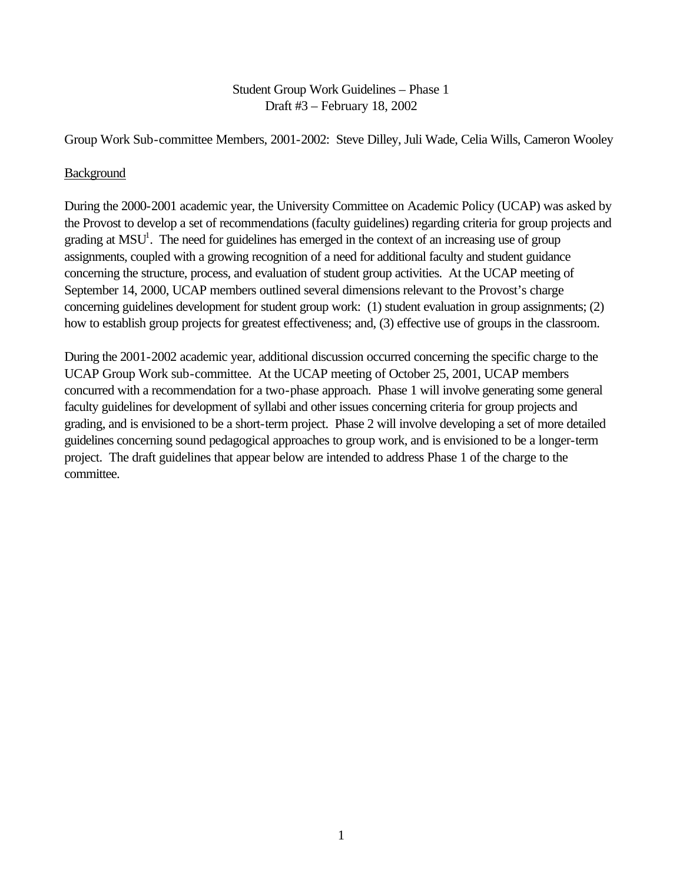## Student Group Work Guidelines – Phase 1 Draft #3 – February 18, 2002

Group Work Sub-committee Members, 2001-2002: Steve Dilley, Juli Wade, Celia Wills, Cameron Wooley

### Background

During the 2000-2001 academic year, the University Committee on Academic Policy (UCAP) was asked by the Provost to develop a set of recommendations (faculty guidelines) regarding criteria for group projects and grading at  $MSU<sup>1</sup>$ . The need for guidelines has emerged in the context of an increasing use of group assignments, coupled with a growing recognition of a need for additional faculty and student guidance concerning the structure, process, and evaluation of student group activities. At the UCAP meeting of September 14, 2000, UCAP members outlined several dimensions relevant to the Provost's charge concerning guidelines development for student group work: (1) student evaluation in group assignments; (2) how to establish group projects for greatest effectiveness; and, (3) effective use of groups in the classroom.

During the 2001-2002 academic year, additional discussion occurred concerning the specific charge to the UCAP Group Work sub-committee. At the UCAP meeting of October 25, 2001, UCAP members concurred with a recommendation for a two-phase approach. Phase 1 will involve generating some general faculty guidelines for development of syllabi and other issues concerning criteria for group projects and grading, and is envisioned to be a short-term project. Phase 2 will involve developing a set of more detailed guidelines concerning sound pedagogical approaches to group work, and is envisioned to be a longer-term project. The draft guidelines that appear below are intended to address Phase 1 of the charge to the committee.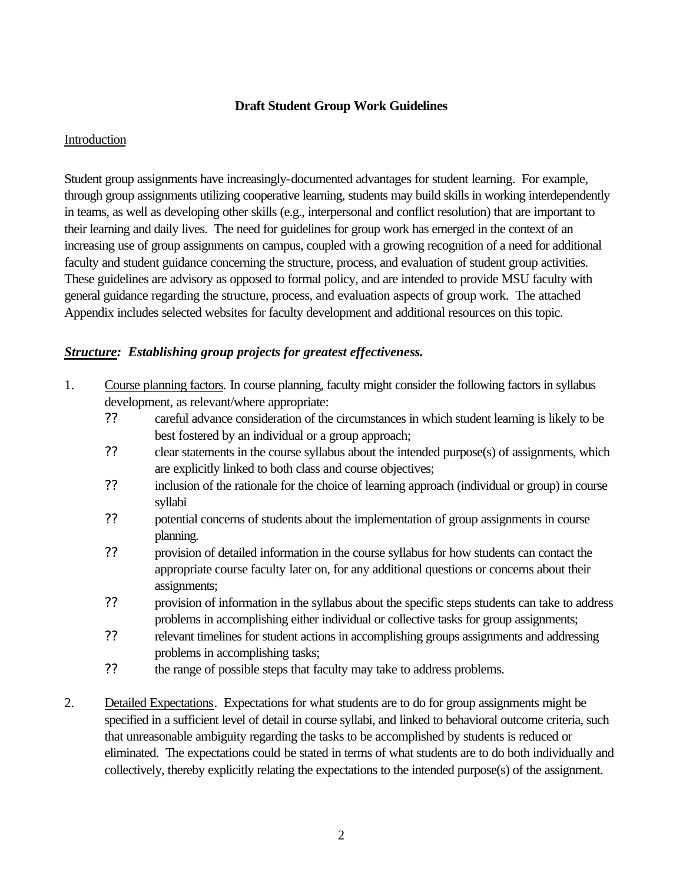#### **Draft Student Group Work Guidelines**

#### Introduction

Student group assignments have increasingly-documented advantages for student learning. For example, through group assignments utilizing cooperative learning, students may build skills in working interdependently in teams, as well as developing other skills (e.g., interpersonal and conflict resolution) that are important to their learning and daily lives. The need for guidelines for group work has emerged in the context of an increasing use of group assignments on campus, coupled with a growing recognition of a need for additional faculty and student guidance concerning the structure, process, and evaluation of student group activities. These guidelines are advisory as opposed to formal policy, and are intended to provide MSU faculty with general guidance regarding the structure, process, and evaluation aspects of group work. The attached Appendix includes selected websites for faculty development and additional resources on this topic.

# *Structure: Establishing group projects for greatest effectiveness.*

- 1. Course planning factors*.* In course planning, faculty might consider the following factors in syllabus development, as relevant/where appropriate:
	- *??* careful advance consideration of the circumstances in which student learning is likely to be best fostered by an individual or a group approach;
	- *??* clear statements in the course syllabus about the intended purpose(s) of assignments, which are explicitly linked to both class and course objectives;
	- *??* inclusion of the rationale for the choice of learning approach (individual or group) in course syllabi
	- *??* potential concerns of students about the implementation of group assignments in course planning.
	- *??* provision of detailed information in the course syllabus for how students can contact the appropriate course faculty later on, for any additional questions or concerns about their assignments;
	- *??* provision of information in the syllabus about the specific steps students can take to address problems in accomplishing either individual or collective tasks for group assignments;
	- *??* relevant timelines for student actions in accomplishing groups assignments and addressing problems in accomplishing tasks;
	- *??* the range of possible steps that faculty may take to address problems.
- 2. Detailed Expectations. Expectations for what students are to do for group assignments might be specified in a sufficient level of detail in course syllabi, and linked to behavioral outcome criteria, such that unreasonable ambiguity regarding the tasks to be accomplished by students is reduced or eliminated. The expectations could be stated in terms of what students are to do both individually and collectively, thereby explicitly relating the expectations to the intended purpose(s) of the assignment.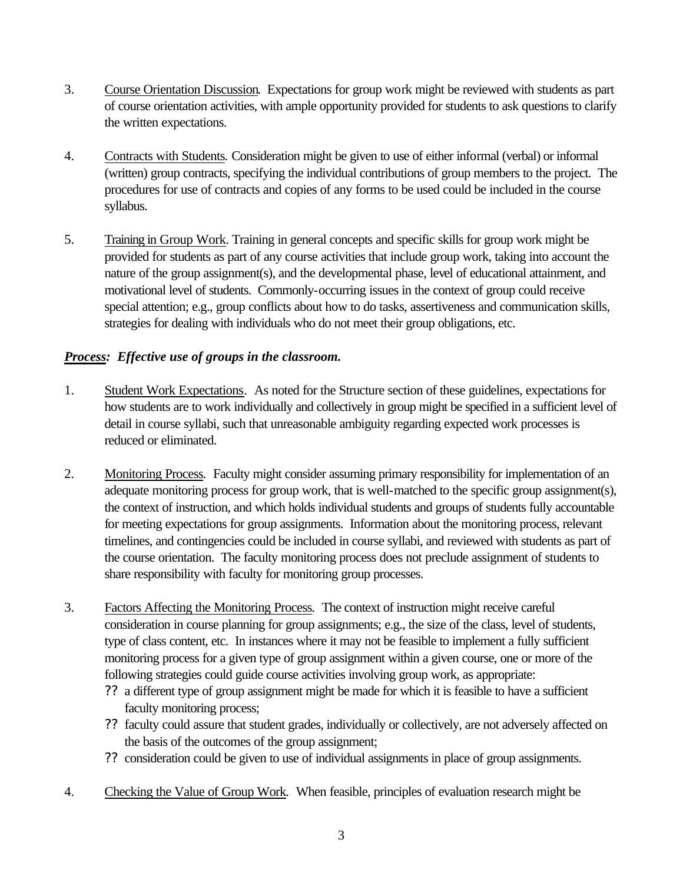- 3. Course Orientation Discussion. Expectations for group work might be reviewed with students as part of course orientation activities, with ample opportunity provided for students to ask questions to clarify the written expectations.
- 4. Contracts with Students*.* Consideration might be given to use of either informal (verbal) or informal (written) group contracts, specifying the individual contributions of group members to the project. The procedures for use of contracts and copies of any forms to be used could be included in the course syllabus.
- 5. Training in Group Work. Training in general concepts and specific skills for group work might be provided for students as part of any course activities that include group work, taking into account the nature of the group assignment(s), and the developmental phase, level of educational attainment, and motivational level of students. Commonly-occurring issues in the context of group could receive special attention; e.g., group conflicts about how to do tasks, assertiveness and communication skills, strategies for dealing with individuals who do not meet their group obligations, etc.

# *Process: Effective use of groups in the classroom.*

- 1. Student Work Expectations*.* As noted for the Structure section of these guidelines, expectations for how students are to work individually and collectively in group might be specified in a sufficient level of detail in course syllabi, such that unreasonable ambiguity regarding expected work processes is reduced or eliminated.
- 2. Monitoring Process*.* Faculty might consider assuming primary responsibility for implementation of an adequate monitoring process for group work, that is well-matched to the specific group assignment(s), the context of instruction, and which holds individual students and groups of students fully accountable for meeting expectations for group assignments. Information about the monitoring process, relevant timelines, and contingencies could be included in course syllabi, and reviewed with students as part of the course orientation. The faculty monitoring process does not preclude assignment of students to share responsibility with faculty for monitoring group processes.
- 3. Factors Affecting the Monitoring Process*.* The context of instruction might receive careful consideration in course planning for group assignments; e.g., the size of the class, level of students, type of class content, etc. In instances where it may not be feasible to implement a fully sufficient monitoring process for a given type of group assignment within a given course, one or more of the following strategies could guide course activities involving group work, as appropriate:
	- ?? a different type of group assignment might be made for which it is feasible to have a sufficient faculty monitoring process;
	- ?? faculty could assure that student grades, individually or collectively, are not adversely affected on the basis of the outcomes of the group assignment;
	- ?? consideration could be given to use of individual assignments in place of group assignments.
- 4. Checking the Value of Group Work*.* When feasible, principles of evaluation research might be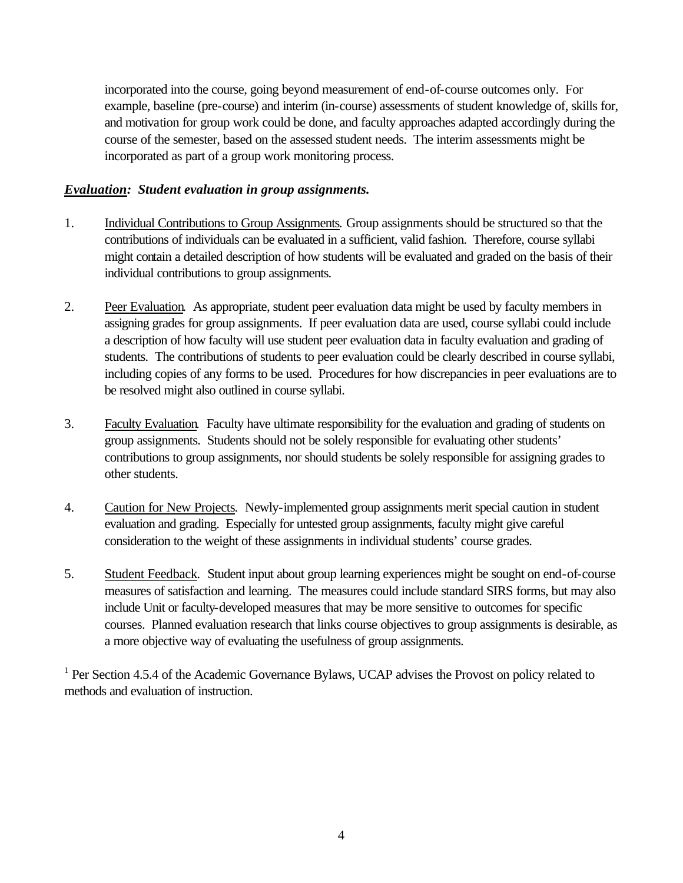incorporated into the course, going beyond measurement of end-of-course outcomes only. For example, baseline (pre-course) and interim (in-course) assessments of student knowledge of, skills for, and motivation for group work could be done, and faculty approaches adapted accordingly during the course of the semester, based on the assessed student needs. The interim assessments might be incorporated as part of a group work monitoring process.

### *Evaluation: Student evaluation in group assignments.*

- 1. Individual Contributions to Group Assignments*.* Group assignments should be structured so that the contributions of individuals can be evaluated in a sufficient, valid fashion. Therefore, course syllabi might contain a detailed description of how students will be evaluated and graded on the basis of their individual contributions to group assignments.
- 2. Peer Evaluation*.* As appropriate, student peer evaluation data might be used by faculty members in assigning grades for group assignments. If peer evaluation data are used, course syllabi could include a description of how faculty will use student peer evaluation data in faculty evaluation and grading of students. The contributions of students to peer evaluation could be clearly described in course syllabi, including copies of any forms to be used. Procedures for how discrepancies in peer evaluations are to be resolved might also outlined in course syllabi.
- 3. Faculty Evaluation*.* Faculty have ultimate responsibility for the evaluation and grading of students on group assignments. Students should not be solely responsible for evaluating other students' contributions to group assignments, nor should students be solely responsible for assigning grades to other students.
- 4. Caution for New Projects*.* Newly-implemented group assignments merit special caution in student evaluation and grading. Especially for untested group assignments, faculty might give careful consideration to the weight of these assignments in individual students' course grades.
- 5. Student Feedback*.* Student input about group learning experiences might be sought on end-of-course measures of satisfaction and learning. The measures could include standard SIRS forms, but may also include Unit or faculty-developed measures that may be more sensitive to outcomes for specific courses. Planned evaluation research that links course objectives to group assignments is desirable, as a more objective way of evaluating the usefulness of group assignments.

<sup>1</sup> Per Section 4.5.4 of the Academic Governance Bylaws, UCAP advises the Provost on policy related to methods and evaluation of instruction.